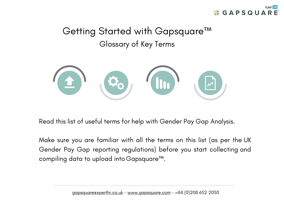

## Getting Started with Gapsquare™ Glossary of Key Terms



Read this list of useful terms for help with Gender Pay Gap Analysis.

Make sure you are familiar with all the terms on this list (as per the UK Gender Pay Gap reporting regulations) before you start collecting and compiling data to upload intoGapsquare™.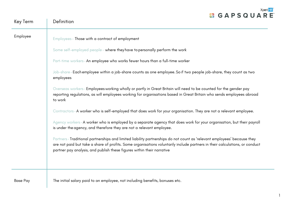

1

| Key Term        | Definition                                                                                                                                                                                                                                                                                                                                                                                                                                                                                                                                                                                                                                                                                                                                                                                                                                                                                                                                                                                                                                                                                                                                                                                                                                                |
|-----------------|-----------------------------------------------------------------------------------------------------------------------------------------------------------------------------------------------------------------------------------------------------------------------------------------------------------------------------------------------------------------------------------------------------------------------------------------------------------------------------------------------------------------------------------------------------------------------------------------------------------------------------------------------------------------------------------------------------------------------------------------------------------------------------------------------------------------------------------------------------------------------------------------------------------------------------------------------------------------------------------------------------------------------------------------------------------------------------------------------------------------------------------------------------------------------------------------------------------------------------------------------------------|
| Employee        | Employees- Those with a contract of employment<br>Some self-employed people- where they have to personally perform the work<br>Part-time workers-An employee who works fewer hours than a full-time worker<br>Job-share-Each employee within a job-share counts as one employee. So if two people job-share, they count as two<br>employees<br>Overseas workers-Employees working wholly or partly in Great Britain will need to be counted for the gender pay<br>reporting regulations, as will employees working for organisations based in Great Britain who sends employees abroad<br>to work<br>Contractors-A worker who is self-employed that does work for your organisation. They are not a relevant employee.<br>Agency workers-A worker who is employed by a separate agency that does work for your organisation, but their payroll<br>is under the agency, and therefore they are not a relevant employee.<br>Partners-Traditional partnerships and limited liability partnerships do not count as 'relevant employees' because they<br>are not paid but take a share of profits. Some organisations voluntarily include partners in their calculations, or conduct<br>partner pay analysis, and publish these figures within their narrative |
| <b>Base Pay</b> | The initial salary paid to an employee, not including benefits, bonuses etc.                                                                                                                                                                                                                                                                                                                                                                                                                                                                                                                                                                                                                                                                                                                                                                                                                                                                                                                                                                                                                                                                                                                                                                              |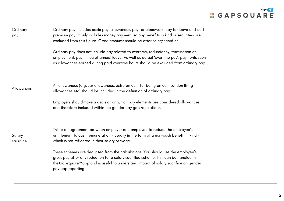## **Xpert HR'**<br> **CAPSQUARE**

| Ordinary<br>pay     | Ordinary pay includes basic pay, allowances, pay for piecework, pay for leave and shift<br>premium pay. It only includes money payment, so any benefits in kind or securities are<br>excluded from this figure. Gross amounts should be after salary sacrifice.<br>Ordinary pay does not include pay related to overtime, redundancy, termination of<br>employment, pay in lieu of annual leave. As well as actual 'overtime pay', payments such<br>as allowances earned during paid overtime hours should be excluded from ordinary pay. |
|---------------------|-------------------------------------------------------------------------------------------------------------------------------------------------------------------------------------------------------------------------------------------------------------------------------------------------------------------------------------------------------------------------------------------------------------------------------------------------------------------------------------------------------------------------------------------|
| Allowances          | All allowances (e.g. car allowances, extra amount for being on call, London living<br>allowances etc) should be included in the definition of ordinary pay.<br>Employers should make a decision on which pay elements are considered allowances<br>and therefore included within the gender pay gap regulations.                                                                                                                                                                                                                          |
| Salary<br>sacrifice | This is an agreement between employer and employee to reduce the employee's<br>entitlement to cash remuneration - usually in the form of a non-cash benefit in kind -<br>which is not reflected in their salary or wage.<br>These schemes are deducted from the calculations. You should use the employee's<br>gross pay after any reduction for a salary sacrifice scheme. This can be handled in<br>the Gapsquare™ app and is useful to understand impact of salary sacrifice on gender<br>pay gap reporting.                           |